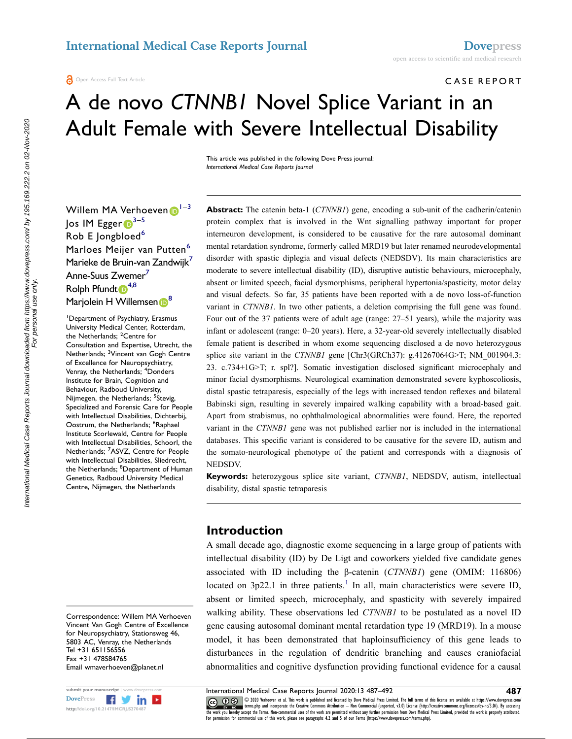C ASE REPORT

# A de novo *CTNNB1* Novel Splice Variant in an Adult Female with Severe Intellectual Disability

This article was published in the following Dove Press journal: *International Medical Case Reports Journal*

Willem MA Verhoeven  $1^{-3}$  $1^{-3}$  $1^{-3}$  $1^{-3}$  $\log$  IM Egger  $\mathbb{D}^{3-5}$ Rob E Jongbloed<sup>6</sup> Marloes Meijer van Putten<sup>[6](#page-0-3)</sup> Marieke de Bruin-van Zandwijk<sup>7</sup> Anne-Suus Zwemer<sup>7</sup> Rolph Pfundt  $\mathbb{R}^{4,8}$  $\mathbb{R}^{4,8}$  $\mathbb{R}^{4,8}$  $\mathbb{R}^{4,8}$ Marjolei[n](http://orcid.org/0000-0003-1213-5773) H Willemsen <sup>[8](#page-0-6)</sup>

<span id="page-0-5"></span><span id="page-0-2"></span><span id="page-0-1"></span><span id="page-0-0"></span>1 Department of Psychiatry, Erasmus University Medical Center, Rotterdam, the Netherlands; <sup>2</sup>Centre for Consultation and Expertise, Utrecht, the Netherlands; <sup>3</sup>Vincent van Gogh Centre of Excellence for Neuropsychiatry, Venray, the Netherlands; <sup>4</sup>Donders Institute for Brain, Cognition and Behaviour, Radboud University, Nijmegen, the Netherlands; <sup>5</sup>Stevig, Specialized and Forensic Care for People with Intellectual Disabilities, Dichterbij, Oostrum, the Netherlands; <sup>6</sup>Raphael Institute Scorlewald, Centre for People with Intellectual Disabilities, Schoorl, the Netherlands; <sup>7</sup>ASVZ, Centre for People with Intellectual Disabilities, Sliedrecht, the Netherlands; <sup>8</sup>Department of Human Genetics, Radboud University Medical Centre, Nijmegen, the Netherlands

Correspondence: Willem MA Verhoeven Vincent Van Gogh Centre of Excellence for Neuropsychiatry, Stationsweg 46, 5803 AC, Venray, the Netherlands Tel +31 651156556 Fax +31 478584765 Email [wmaverhoeven@planet.nl](mailto:wmaverhoeven@planet.nl)



**Abstract:** The catenin beta-1 (*CTNNB1*) gene, encoding a sub-unit of the cadherin/catenin protein complex that is involved in the Wnt signalling pathway important for proper interneuron development, is considered to be causative for the rare autosomal dominant mental retardation syndrome, formerly called MRD19 but later renamed neurodevelopmental disorder with spastic diplegia and visual defects (NEDSDV). Its main characteristics are moderate to severe intellectual disability (ID), disruptive autistic behaviours, microcephaly, absent or limited speech, facial dysmorphisms, peripheral hypertonia/spasticity, motor delay and visual defects. So far, 35 patients have been reported with a de novo loss-of-function variant in *CTNNB1*. In two other patients, a deletion comprising the full gene was found. Four out of the 37 patients were of adult age (range: 27–51 years), while the majority was infant or adolescent (range: 0–20 years). Here, a 32-year-old severely intellectually disabled female patient is described in whom exome sequencing disclosed a de novo heterozygous splice site variant in the *CTNNB1* gene [Chr3(GRCh37): g.41267064G>T; NM\_001904.3: 23. c.734+1G>T; r. spl?]. Somatic investigation disclosed significant microcephaly and minor facial dysmorphisms. Neurological examination demonstrated severe kyphoscoliosis, distal spastic tetraparesis, especially of the legs with increased tendon reflexes and bilateral Babinski sign, resulting in severely impaired walking capability with a broad-based gait. Apart from strabismus, no ophthalmological abnormalities were found. Here, the reported variant in the *CTNNB1* gene was not published earlier nor is included in the international databases. This specific variant is considered to be causative for the severe ID, autism and the somato-neurological phenotype of the patient and corresponds with a diagnosis of NEDSDV.

**Keywords:** heterozygous splice site variant, *CTNNB1*, NEDSDV, autism, intellectual disability, distal spastic tetraparesis

### **Introduction**

<span id="page-0-7"></span>A small decade ago, diagnostic exome sequencing in a large group of patients with intellectual disability (ID) by De Ligt and coworkers yielded five candidate genes associated with ID including the β-catenin (*CTNNB1*) gene (OMIM: 116806) located on  $3p22.1$  $3p22.1$  in three patients.<sup>1</sup> In all, main characteristics were severe ID, absent or limited speech, microcephaly, and spasticity with severely impaired walking ability. These observations led *CTNNB1* to be postulated as a novel ID gene causing autosomal dominant mental retardation type 19 (MRD19). In a mouse model, it has been demonstrated that haploinsufficiency of this gene leads to disturbances in the regulation of dendritic branching and causes craniofacial abnormalities and cognitive dysfunction providing functional evidence for a causal

<span id="page-0-6"></span><span id="page-0-4"></span><span id="page-0-3"></span>

submit your manuscript **| www.dovepress.com International Medical Case Reports Journal 2020:13 487–492 487**<br>DovePress **1989 1999 1999 1999 1999 2020** Verhoeven et al. This work is published and licensed by Dove **CO D**  $\otimes$  2020 Verhoeven et al. This work is published and licensed by Dove Medical Press Limited. The full terms of this license are available at https://www.dovepress.com/ www.giventerms.php and incorporate the Creative Commons Attribution — Non Commercial (unported, v3.0) License (http://creativecommons.org/licenses/by-nc/3.0/). By accessing<br>the work you hereby accept the Terms. Non-commerc For permission for commercial use of this work, please see paragraphs 4.2 and 5 of our Terms (https://www.dovepress.com/terms.php).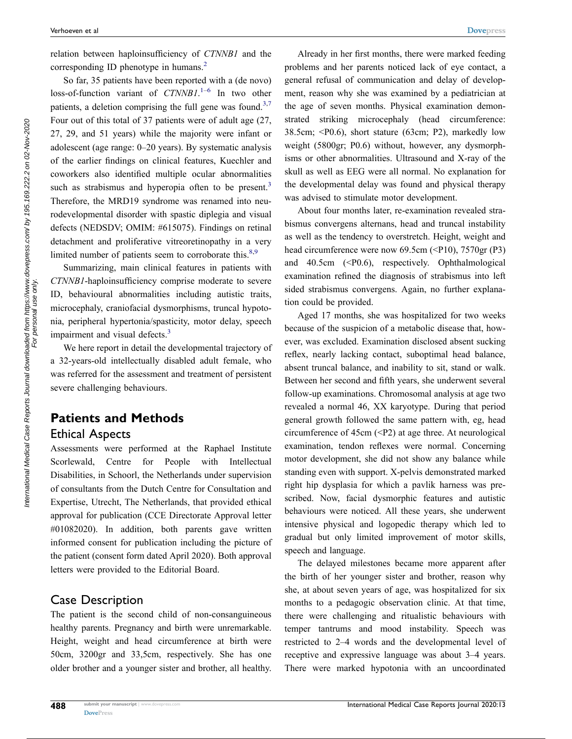<span id="page-1-0"></span>relation between haploinsufficiency of *CTNNB1* and the corresponding ID phenotype in humans.<sup>[2](#page-4-1)</sup>

<span id="page-1-3"></span><span id="page-1-2"></span>So far, 35 patients have been reported with a (de novo) loss-of-function variant of *CTNNB1*. [1](#page-4-0)–[6](#page-4-2) In two other patients, a deletion comprising the full gene was found.<sup>3,7</sup> Four out of this total of 37 patients were of adult age (27, 27, 29, and 51 years) while the majority were infant or adolescent (age range: 0–20 years). By systematic analysis of the earlier findings on clinical features, Kuechler and coworkers also identified multiple ocular abnormalities such as strabismus and hyperopia often to be present.<sup>3</sup> Therefore, the MRD19 syndrome was renamed into neurodevelopmental disorder with spastic diplegia and visual defects (NEDSDV; OMIM: #615075). Findings on retinal detachment and proliferative vitreoretinopathy in a very limited number of patients seem to corroborate this. $8,9$  $8,9$ 

<span id="page-1-4"></span>Summarizing, main clinical features in patients with *CTNNB1*-haploinsufficiency comprise moderate to severe ID, behavioural abnormalities including autistic traits, microcephaly, craniofacial dysmorphisms, truncal hypotonia, peripheral hypertonia/spasticity, motor delay, speech impairment and visual defects.<sup>[3](#page-4-3)</sup>

<span id="page-1-1"></span>We here report in detail the developmental trajectory of a 32-years-old intellectually disabled adult female, who was referred for the assessment and treatment of persistent severe challenging behaviours.

# **Patients and Methods** Ethical Aspects

Assessments were performed at the Raphael Institute Scorlewald, Centre for People with Intellectual Disabilities, in Schoorl, the Netherlands under supervision of consultants from the Dutch Centre for Consultation and Expertise, Utrecht, The Netherlands, that provided ethical approval for publication (CCE Directorate Approval letter #01082020). In addition, both parents gave written informed consent for publication including the picture of the patient (consent form dated April 2020). Both approval letters were provided to the Editorial Board.

### Case Description

The patient is the second child of non-consanguineous healthy parents. Pregnancy and birth were unremarkable. Height, weight and head circumference at birth were 50cm, 3200gr and 33,5cm, respectively. She has one older brother and a younger sister and brother, all healthy.

Already in her first months, there were marked feeding problems and her parents noticed lack of eye contact, a general refusal of communication and delay of development, reason why she was examined by a pediatrician at the age of seven months. Physical examination demonstrated striking microcephaly (head circumference: 38.5cm; <P0.6), short stature (63cm; P2), markedly low weight (5800gr; P0.6) without, however, any dysmorphisms or other abnormalities. Ultrasound and X-ray of the skull as well as EEG were all normal. No explanation for the developmental delay was found and physical therapy was advised to stimulate motor development.

About four months later, re-examination revealed strabismus convergens alternans, head and truncal instability as well as the tendency to overstretch. Height, weight and head circumference were now 69.5cm (<P10), 7570gr (P3) and 40.5cm (<P0.6), respectively. Ophthalmological examination refined the diagnosis of strabismus into left sided strabismus convergens. Again, no further explanation could be provided.

Aged 17 months, she was hospitalized for two weeks because of the suspicion of a metabolic disease that, however, was excluded. Examination disclosed absent sucking reflex, nearly lacking contact, suboptimal head balance, absent truncal balance, and inability to sit, stand or walk. Between her second and fifth years, she underwent several follow-up examinations. Chromosomal analysis at age two revealed a normal 46, XX karyotype. During that period general growth followed the same pattern with, eg, head circumference of  $45cm$  ( $\leq$ P2) at age three. At neurological examination, tendon reflexes were normal. Concerning motor development, she did not show any balance while standing even with support. X-pelvis demonstrated marked right hip dysplasia for which a pavlik harness was prescribed. Now, facial dysmorphic features and autistic behaviours were noticed. All these years, she underwent intensive physical and logopedic therapy which led to gradual but only limited improvement of motor skills, speech and language.

The delayed milestones became more apparent after the birth of her younger sister and brother, reason why she, at about seven years of age, was hospitalized for six months to a pedagogic observation clinic. At that time, there were challenging and ritualistic behaviours with temper tantrums and mood instability. Speech was restricted to 2–4 words and the developmental level of receptive and expressive language was about 3–4 years. There were marked hypotonia with an uncoordinated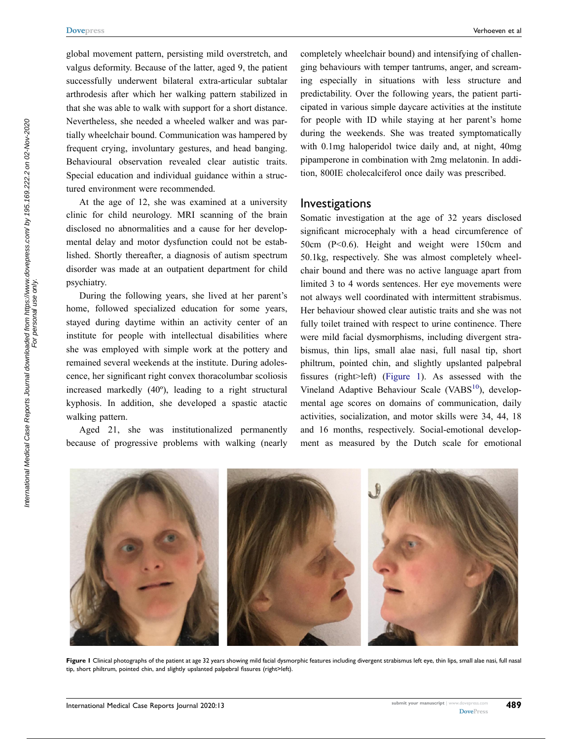global movement pattern, persisting mild overstretch, and valgus deformity. Because of the latter, aged 9, the patient successfully underwent bilateral extra-articular subtalar arthrodesis after which her walking pattern stabilized in that she was able to walk with support for a short distance. Nevertheless, she needed a wheeled walker and was partially wheelchair bound. Communication was hampered by frequent crying, involuntary gestures, and head banging. Behavioural observation revealed clear autistic traits. Special education and individual guidance within a structured environment were recommended.

At the age of 12, she was examined at a university clinic for child neurology. MRI scanning of the brain disclosed no abnormalities and a cause for her developmental delay and motor dysfunction could not be established. Shortly thereafter, a diagnosis of autism spectrum disorder was made at an outpatient department for child psychiatry.

During the following years, she lived at her parent's home, followed specialized education for some years, stayed during daytime within an activity center of an institute for people with intellectual disabilities where she was employed with simple work at the pottery and remained several weekends at the institute. During adolescence, her significant right convex thoracolumbar scoliosis increased markedly (40º), leading to a right structural kyphosis. In addition, she developed a spastic atactic walking pattern.

Aged 21, she was institutionalized permanently because of progressive problems with walking (nearly completely wheelchair bound) and intensifying of challenging behaviours with temper tantrums, anger, and screaming especially in situations with less structure and predictability. Over the following years, the patient participated in various simple daycare activities at the institute for people with ID while staying at her parent's home during the weekends. She was treated symptomatically with 0.1mg haloperidol twice daily and, at night, 40mg pipamperone in combination with 2mg melatonin. In addition, 800IE cholecalciferol once daily was prescribed.

#### Investigations

<span id="page-2-1"></span>Somatic investigation at the age of 32 years disclosed significant microcephaly with a head circumference of 50cm (P<0.6). Height and weight were 150cm and 50.1kg, respectively. She was almost completely wheelchair bound and there was no active language apart from limited 3 to 4 words sentences. Her eye movements were not always well coordinated with intermittent strabismus. Her behaviour showed clear autistic traits and she was not fully toilet trained with respect to urine continence. There were mild facial dysmorphisms, including divergent strabismus, thin lips, small alae nasi, full nasal tip, short philtrum, pointed chin, and slightly upslanted palpebral fissures (right>left) ([Figure 1\)](#page-2-0). As assessed with the Vineland Adaptive Behaviour Scale (VABS $10$ ), developmental age scores on domains of communication, daily activities, socialization, and motor skills were 34, 44, 18 and 16 months, respectively. Social-emotional development as measured by the Dutch scale for emotional

<span id="page-2-0"></span>

Figure 1 Clinical photographs of the patient at age 32 years showing mild facial dysmorphic features including divergent strabismus left eye, thin lips, small alae nasi, full nasal tip, short philtrum, pointed chin, and slightly upslanted palpebral fissures (right>left).

For personal use only.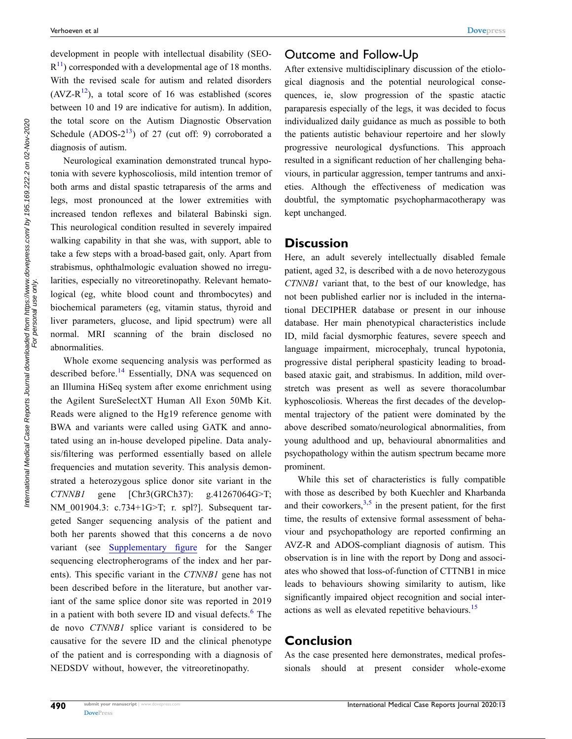<span id="page-3-2"></span><span id="page-3-1"></span>development in people with intellectual disability (SEO- $R<sup>11</sup>$  $R<sup>11</sup>$  $R<sup>11</sup>$ ) corresponded with a developmental age of 18 months. With the revised scale for autism and related disorders  $(AVZ-R<sup>12</sup>)$  $(AVZ-R<sup>12</sup>)$  $(AVZ-R<sup>12</sup>)$ , a total score of 16 was established (scores between 10 and 19 are indicative for autism). In addition, the total score on the Autism Diagnostic Observation Schedule (ADOS- $2^{13}$ ) of 27 (cut off: 9) corroborated a diagnosis of autism.

<span id="page-3-3"></span>Neurological examination demonstrated truncal hypotonia with severe kyphoscoliosis, mild intention tremor of both arms and distal spastic tetraparesis of the arms and legs, most pronounced at the lower extremities with increased tendon reflexes and bilateral Babinski sign. This neurological condition resulted in severely impaired walking capability in that she was, with support, able to take a few steps with a broad-based gait, only. Apart from strabismus, ophthalmologic evaluation showed no irregularities, especially no vitreoretinopathy. Relevant hematological (eg, white blood count and thrombocytes) and biochemical parameters (eg, vitamin status, thyroid and liver parameters, glucose, and lipid spectrum) were all normal. MRI scanning of the brain disclosed no abnormalities.

<span id="page-3-4"></span>Whole exome sequencing analysis was performed as described before.[14](#page-4-11) Essentially, DNA was sequenced on an Illumina HiSeq system after exome enrichment using the Agilent SureSelectXT Human All Exon 50Mb Kit. Reads were aligned to the Hg19 reference genome with BWA and variants were called using GATK and annotated using an in-house developed pipeline. Data analysis/filtering was performed essentially based on allele frequencies and mutation severity. This analysis demonstrated a heterozygous splice donor site variant in the *CTNNB1* gene [Chr3(GRCh37): g.41267064G>T; NM 001904.3: c.734+1G>T; r. spl?]. Subsequent targeted Sanger sequencing analysis of the patient and both her parents showed that this concerns a de novo variant (see [Supplementary figure](https://www.dovepress.com/get_supplementary_file.php?f=270487.pdf) for the Sanger sequencing electropherograms of the index and her parents). This specific variant in the *CTNNB1* gene has not been described before in the literature, but another variant of the same splice donor site was reported in 2019 in a patient with both severe ID and visual defects.<sup>6</sup> The de novo *CTNNB1* splice variant is considered to be causative for the severe ID and the clinical phenotype of the patient and is corresponding with a diagnosis of NEDSDV without, however, the vitreoretinopathy.

# Outcome and Follow-Up

After extensive multidisciplinary discussion of the etiological diagnosis and the potential neurological consequences, ie, slow progression of the spastic atactic paraparesis especially of the legs, it was decided to focus individualized daily guidance as much as possible to both the patients autistic behaviour repertoire and her slowly progressive neurological dysfunctions. This approach resulted in a significant reduction of her challenging behaviours, in particular aggression, temper tantrums and anxieties. Although the effectiveness of medication was doubtful, the symptomatic psychopharmacotherapy was kept unchanged.

#### **Discussion**

Here, an adult severely intellectually disabled female patient, aged 32, is described with a de novo heterozygous *CTNNB1* variant that, to the best of our knowledge, has not been published earlier nor is included in the international DECIPHER database or present in our inhouse database. Her main phenotypical characteristics include ID, mild facial dysmorphic features, severe speech and language impairment, microcephaly, truncal hypotonia, progressive distal peripheral spasticity leading to broadbased ataxic gait, and strabismus. In addition, mild overstretch was present as well as severe thoracolumbar kyphoscoliosis. Whereas the first decades of the developmental trajectory of the patient were dominated by the above described somato/neurological abnormalities, from young adulthood and up, behavioural abnormalities and psychopathology within the autism spectrum became more prominent.

<span id="page-3-0"></span>While this set of characteristics is fully compatible with those as described by both Kuechler and Kharbanda and their coworkers,  $3,5$  $3,5$  in the present patient, for the first time, the results of extensive formal assessment of behaviour and psychopathology are reported confirming an AVZ-R and ADOS-compliant diagnosis of autism. This observation is in line with the report by Dong and associates who showed that loss-of-function of CTTNB1 in mice leads to behaviours showing similarity to autism, like significantly impaired object recognition and social interactions as well as elevated repetitive behaviours.<sup>15</sup>

# <span id="page-3-5"></span>**Conclusion**

As the case presented here demonstrates, medical professionals should at present consider whole-exome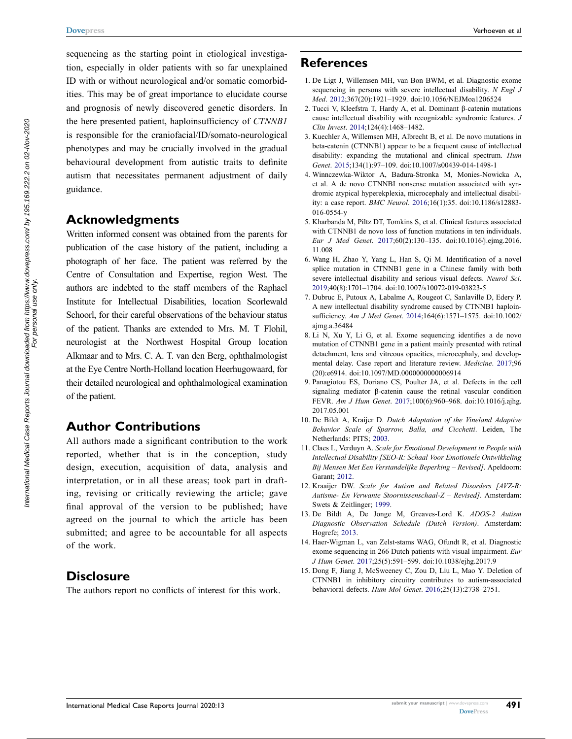sequencing as the starting point in etiological investigation, especially in older patients with so far unexplained ID with or without neurological and/or somatic comorbidities. This may be of great importance to elucidate course and prognosis of newly discovered genetic disorders. In the here presented patient, haploinsufficiency of *CTNNB1*  is responsible for the craniofacial/ID/somato-neurological phenotypes and may be crucially involved in the gradual behavioural development from autistic traits to definite autism that necessitates permanent adjustment of daily guidance.

# **Acknowledgments**

Written informed consent was obtained from the parents for publication of the case history of the patient, including a photograph of her face. The patient was referred by the Centre of Consultation and Expertise, region West. The authors are indebted to the staff members of the Raphael Institute for Intellectual Disabilities, location Scorlewald Schoorl, for their careful observations of the behaviour status of the patient. Thanks are extended to Mrs. M. T Flohil, neurologist at the Northwest Hospital Group location Alkmaar and to Mrs. C. A. T. van den Berg, ophthalmologist at the Eye Centre North-Holland location Heerhugowaard, for their detailed neurological and ophthalmological examination of the patient.

# **Author Contributions**

All authors made a significant contribution to the work reported, whether that is in the conception, study design, execution, acquisition of data, analysis and interpretation, or in all these areas; took part in drafting, revising or critically reviewing the article; gave final approval of the version to be published; have agreed on the journal to which the article has been submitted; and agree to be accountable for all aspects of the work.

## **Disclosure**

The authors report no conflicts of interest for this work.

# **References**

- <span id="page-4-0"></span>1. De Ligt J, Willemsen MH, van Bon BWM, et al. Diagnostic exome sequencing in persons with severe intellectual disability. *N Engl J Med*. [2012](#page-0-7);367(20):1921–1929. doi:[10.1056/NEJMoa1206524](https://doi.org/10.1056/NEJMoa1206524)
- <span id="page-4-1"></span>2. Tucci V, Kleefstra T, Hardy A, et al. Dominant β-catenin mutations cause intellectual disability with recognizable syndromic features. *J Clin Invest*. [2014;](#page-1-0)124(4):1468–1482.
- <span id="page-4-3"></span>3. Kuechler A, Willemsen MH, Albrecht B, et al. De novo mutations in beta-catenin (CTNNB1) appear to be a frequent cause of intellectual disability: expanding the mutational and clinical spectrum. *Hum Genet*. [2015](#page-1-1);134(1):97–109. doi:[10.1007/s00439-014-1498-1](https://doi.org/10.1007/s00439-014-1498-1)
- 4. Winnczewka-Wiktor A, Badura-Stronka M, Monies-Nowicka A, et al. A de novo CTNNBI nonsense mutation associated with syndromic atypical hyperekplexia, microcephaly and intellectual disability: a case report. *BMC Neurol*. 2016;16(1):35. doi:[10.1186/s12883-](https://doi.org/10.1186/s12883-016-0554-y) [016-0554-y](https://doi.org/10.1186/s12883-016-0554-y)
- <span id="page-4-12"></span>5. Kharbanda M, Piltz DT, Tomkins S, et al. Clinical features associated with CTNNB1 de novo loss of function mutations in ten individuals. *Eur J Med Genet*. [2017;](#page-3-0)60(2):130–135. doi:[10.1016/j.ejmg.2016.](https://doi.org/10.1016/j.ejmg.2016.11.008) [11.008](https://doi.org/10.1016/j.ejmg.2016.11.008)
- <span id="page-4-2"></span>6. Wang H, Zhao Y, Yang L, Han S, Qi M. Identification of a novel splice mutation in CTNNB1 gene in a Chinese family with both severe intellectual disability and serious visual defects. *Neurol Sci*. [2019](#page-1-2);40(8):1701–1704. doi:[10.1007/s10072-019-03823-5](https://doi.org/10.1007/s10072-019-03823-5)
- <span id="page-4-4"></span>7. Dubruc E, Putoux A, Labalme A, Rougeot C, Sanlaville D, Edery P. A new intellectual disability syndrome caused by CTNNB1 haploinsufficiency. *Am J Med Genet*. [2014](#page-1-3);164(6):1571–1575. doi:[10.1002/](https://doi.org/10.1002/ajmg.a.36484) [ajmg.a.36484](https://doi.org/10.1002/ajmg.a.36484)
- <span id="page-4-5"></span>8. Li N, Xu Y, Li G, et al. Exome sequencing identifies a de novo mutation of CTNNB1 gene in a patient mainly presented with retinal detachment, lens and vitreous opacities, microcephaly, and developmental delay. Case report and literature review. *Medicine*. [2017](#page-1-4);96 (20):e6914. doi:[10.1097/MD.0000000000006914](https://doi.org/10.1097/MD.0000000000006914)
- <span id="page-4-6"></span>9. Panagiotou ES, Doriano CS, Poulter JA, et al. Defects in the cell signaling mediator β-catenin cause the retinal vascular condition FEVR. *Am J Hum Genet*. [2017;](#page-1-4)100(6):960–968. doi:[10.1016/j.ajhg.](https://doi.org/10.1016/j.ajhg.2017.05.001) [2017.05.001](https://doi.org/10.1016/j.ajhg.2017.05.001)
- <span id="page-4-7"></span>10. De Bildt A, Kraijer D. *Dutch Adaptation of the Vineland Adaptive Behavior Scale of Sparrow, Balla, and Cicchetti*. Leiden, The Netherlands: PITS; [2003](#page-2-1).
- <span id="page-4-8"></span>11. Claes L, Verduyn A. *Scale for Emotional Development in People with Intellectual Disability [SEO-R: Schaal Voor Emotionele Ontwikkeling Bij Mensen Met Een Verstandelijke Beperking – Revised]*. Apeldoorn: Garant; [2012](#page-3-1).
- <span id="page-4-9"></span>12. Kraaijer DW. *Scale for Autism and Related Disorders [AVZ-R: Autisme- En Verwante Stoornissenschaal-Z – Revised]*. Amsterdam: Swets & Zeitlinger; [1999](#page-3-2).
- <span id="page-4-10"></span>13. De Bildt A, De Jonge M, Greaves-Lord K. *ADOS-2 Autism Diagnostic Observation Schedule (Dutch Version)*. Amsterdam: Hogrefe; [2013](#page-3-3).
- <span id="page-4-11"></span>14. Haer-Wigman L, van Zelst-stams WAG, Ofundt R, et al. Diagnostic exome sequencing in 266 Dutch patients with visual impairment. *Eur J Hum Genet*. [2017;](#page-3-4)25(5):591–599. doi:[10.1038/ejhg.2017.9](https://doi.org/10.1038/ejhg.2017.9)
- <span id="page-4-13"></span>15. Dong F, Jiang J, McSweeney C, Zou D, Liu L, Mao Y. Deletion of CTNNB1 in inhibitory circuitry contributes to autism-associated behavioral defects. *Hum Mol Genet*. [2016;](#page-3-5)25(13):2738–2751.